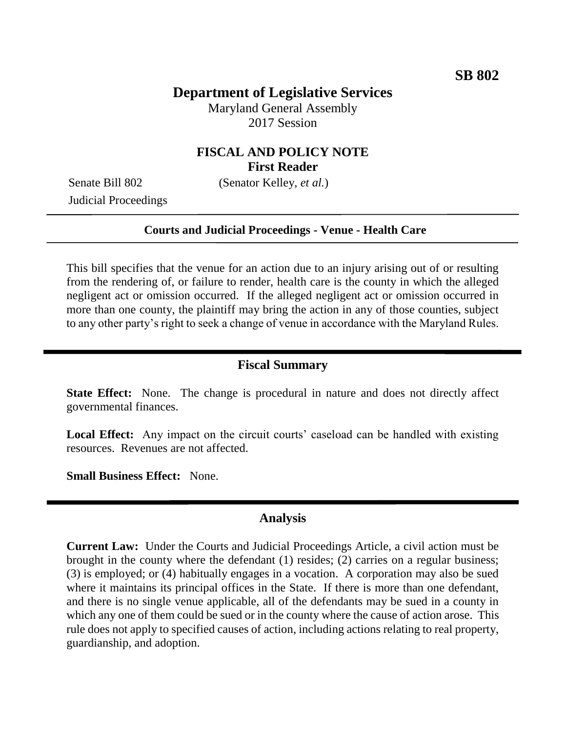# **Department of Legislative Services**

Maryland General Assembly 2017 Session

# **FISCAL AND POLICY NOTE First Reader**

Judicial Proceedings

Senate Bill 802 (Senator Kelley, *et al.*)

#### **Courts and Judicial Proceedings - Venue - Health Care**

This bill specifies that the venue for an action due to an injury arising out of or resulting from the rendering of, or failure to render, health care is the county in which the alleged negligent act or omission occurred. If the alleged negligent act or omission occurred in more than one county, the plaintiff may bring the action in any of those counties, subject to any other party's right to seek a change of venue in accordance with the Maryland Rules.

### **Fiscal Summary**

**State Effect:** None. The change is procedural in nature and does not directly affect governmental finances.

Local Effect: Any impact on the circuit courts' caseload can be handled with existing resources. Revenues are not affected.

**Small Business Effect:** None.

### **Analysis**

**Current Law:** Under the Courts and Judicial Proceedings Article, a civil action must be brought in the county where the defendant (1) resides; (2) carries on a regular business; (3) is employed; or (4) habitually engages in a vocation. A corporation may also be sued where it maintains its principal offices in the State. If there is more than one defendant, and there is no single venue applicable, all of the defendants may be sued in a county in which any one of them could be sued or in the county where the cause of action arose. This rule does not apply to specified causes of action, including actions relating to real property, guardianship, and adoption.